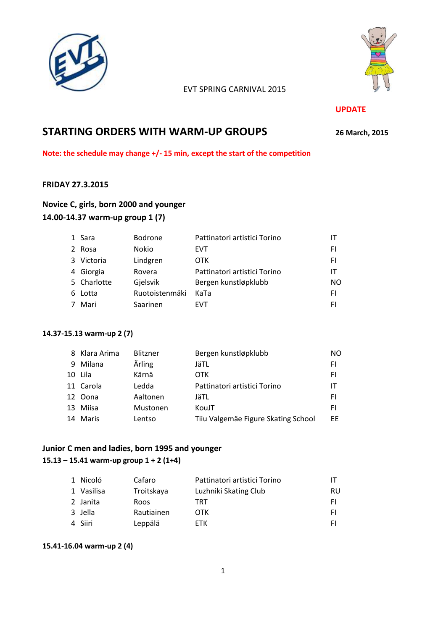



### EVT SPRING CARNIVAL 2015

#### **UPDATE**

# **STARTING ORDERS WITH WARM-UP GROUPS <sup>26</sup> March, 2015**

**Note: the schedule may change +/- 15 min, except the start of the competition**

### **FRIDAY 27.3.2015**

# **Novice C, girls, born 2000 and younger 14.00-14.37 warm-up group 1 (7)**

| 1 Sara      | Bodrone        | Pattinatori artistici Torino |           |
|-------------|----------------|------------------------------|-----------|
| 2 Rosa      | Nokio          | EVT                          | FI        |
| 3 Victoria  | Lindgren       | <b>OTK</b>                   | FI        |
| 4 Giorgia   | Rovera         | Pattinatori artistici Torino | IΤ        |
| 5 Charlotte | Gjelsvik       | Bergen kunstløpklubb         | <b>NO</b> |
| 6 Lotta     | Ruotoistenmäki | KaTa                         | FI        |
| Mari        | Saarinen       | <b>FVT</b>                   | FI        |

#### **14.37-15.13 warm-up 2 (7)**

|    | 8 Klara Arima | <b>Blitzner</b> | Bergen kunstløpklubb                | NO  |
|----|---------------|-----------------|-------------------------------------|-----|
| 9  | Milana        | Ärling          | JäTL                                | FI  |
| 10 | Lila          | Kärnä           | OTK                                 | FI  |
|    | 11 Carola     | Ledda           | Pattinatori artistici Torino        | IТ  |
|    | 12 Oona       | Aaltonen        | JäTL                                | FI  |
| 13 | Miisa         | Mustonen        | KouJT                               | FI  |
|    | 14 Maris      | Lentso          | Tiiu Valgemäe Figure Skating School | FF. |

# **Junior C men and ladies, born 1995 and younger**

# **15.13 – 15.41 warm-up group 1 + 2 (1+4)**

| 1 Nicoló   | Cafaro     | Pattinatori artistici Torino |     |
|------------|------------|------------------------------|-----|
| 1 Vasilisa | Troitskaya | Luzhniki Skating Club        | RU  |
| 2 Janita   | Roos       | TRT                          | FL. |
| 3 Jella    | Rautiainen | 0TK                          | FI. |
| 4 Siiri    | Leppälä    | FTK                          | FI. |

#### **15.41-16.04 warm-up 2 (4)**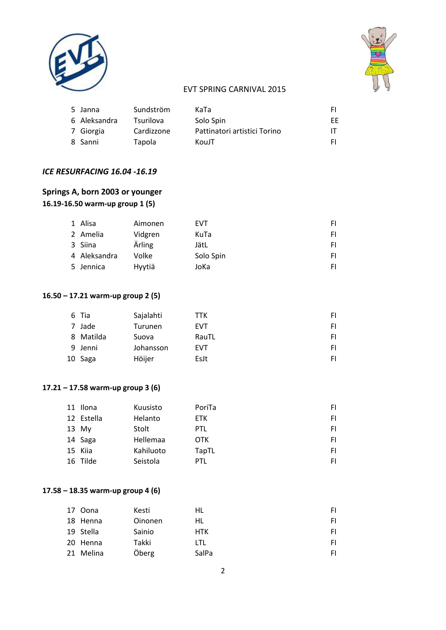



# EVT SPRING CARNIVAL 2015

| 5 Janna      | Sundström        | KaTa                         | FI. |
|--------------|------------------|------------------------------|-----|
| 6 Aleksandra | <b>Tsurilova</b> | Solo Spin                    | ЕE  |
| 7 Giorgia    | Cardizzone       | Pattinatori artistici Torino | ΙT  |
| 8 Sanni      | Tapola           | KouJT                        | FI. |

### *ICE RESURFACING 16.04 -16.19*

# **Springs A, born 2003 or younger 16.19-16.50 warm-up group 1 (5)**

| 1 Alisa      | Aimonen | <b>EVT</b> | FI. |
|--------------|---------|------------|-----|
| 2 Amelia     | Vidgren | KuTa       | FI. |
| 3 Siina      | Ärling  | JätL       | FI. |
| 4 Aleksandra | Volke   | Solo Spin  | FI. |
| 5 Jennica    | Hyytiä  | JoKa       | FI. |

# **16.50 – 17.21 warm-up group 2 (5)**

| 6 Tia     | Sajalahti | TTK        | FI. |
|-----------|-----------|------------|-----|
| 7 Jade    | Turunen   | <b>EVT</b> | FI. |
| 8 Matilda | Suova     | RauTL      | FI. |
| 9 Jenni   | Johansson | <b>EVT</b> | FI. |
| 10 Saga   | Höijer    | EsJt       | FI. |

### **17.21 – 17.58 warm-up group 3 (6)**

| 11 Ilona   | Kuusisto  | PoriTa     | FI. |
|------------|-----------|------------|-----|
| 12 Estella | Helanto   | <b>ETK</b> | FI  |
| 13 My      | Stolt     | <b>PTL</b> | FI  |
| 14 Saga    | Hellemaa  | OTK        | FI  |
| 15 Kiia    | Kahiluoto | TapTL      | FI. |
| 16 Tilde   | Seistola  | PTL        | FI  |

### **17.58 – 18.35 warm-up group 4 (6)**

| 17 Oona   | Kesti          | HL    | FI. |
|-----------|----------------|-------|-----|
| 18 Henna  | <b>Oinonen</b> | HL    | FI. |
| 19 Stella | Sainio         | HTK   | FI. |
| 20 Henna  | Takki          | LTL   | FI. |
| 21 Melina | Öberg          | SalPa | FI  |